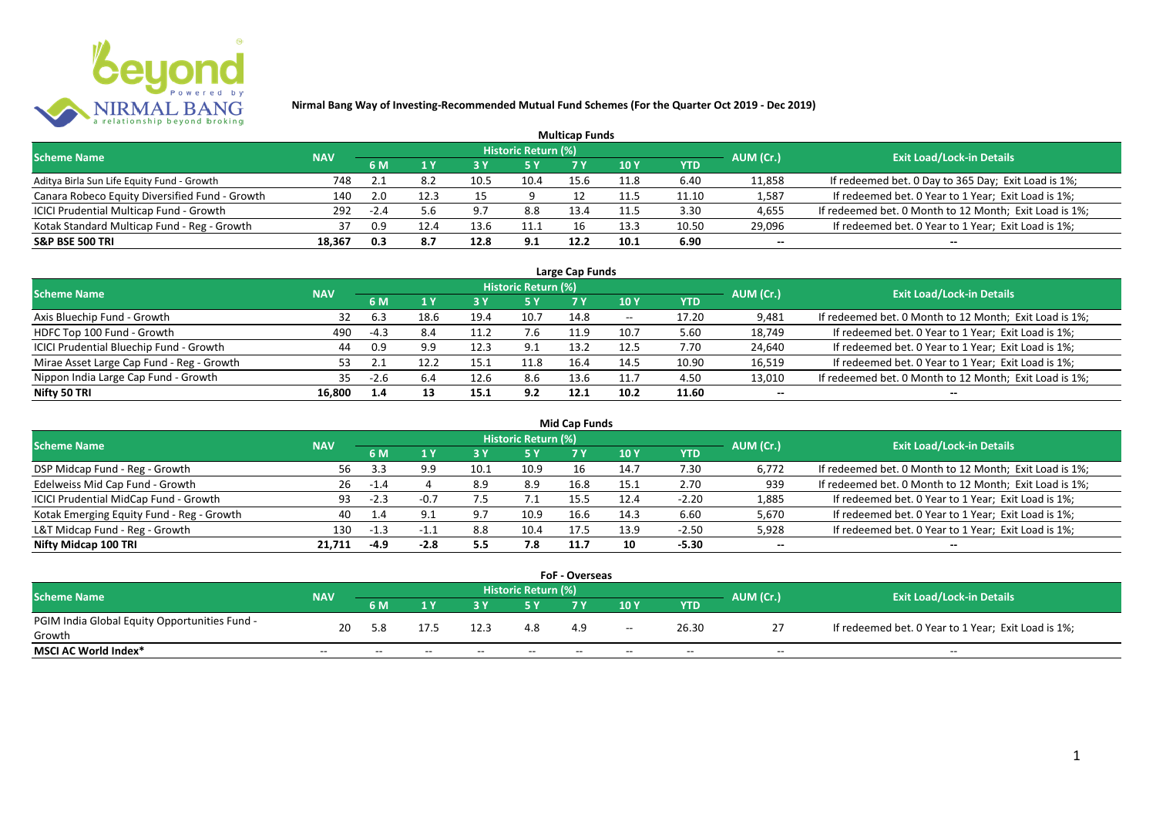

|                                                |            |        |      |      |                            | <b>Multicap Funds</b> |                 |       |           |                                                        |
|------------------------------------------------|------------|--------|------|------|----------------------------|-----------------------|-----------------|-------|-----------|--------------------------------------------------------|
| <b>Scheme Name</b>                             | <b>NAV</b> |        |      |      | <b>Historic Return (%)</b> |                       |                 |       | AUM (Cr.) | <b>Exit Load/Lock-in Details</b>                       |
|                                                |            | 6 M    |      | 73 Y | /5 Y                       |                       | 10 <sub>Y</sub> | YTD   |           |                                                        |
| Aditya Birla Sun Life Equity Fund - Growth     | 748        |        | 8.ż  | 10.5 | 10.4                       | 15.6                  | 11.8            | 6.40  | 11,858    | If redeemed bet. 0 Day to 365 Day; Exit Load is 1%;    |
| Canara Robeco Equity Diversified Fund - Growth | 140        | 2.0    | 12.3 | 15   |                            |                       | 11.5            | 11.10 | 1,587     | If redeemed bet. 0 Year to 1 Year; Exit Load is 1%;    |
| ICICI Prudential Multicap Fund - Growth        | 292        | $-2.4$ |      | 9.7  | 8.8                        | 13.4                  | 11.5            | 3.30  | 4,655     | If redeemed bet. 0 Month to 12 Month; Exit Load is 1%; |
| Kotak Standard Multicap Fund - Reg - Growth    | 37         | 0.9    |      | 13.6 | 11.1                       | 16                    | 13.3            | 10.50 | 29,096    | If redeemed bet. 0 Year to 1 Year; Exit Load is 1%;    |
| <b>S&amp;P BSE 500 TRI</b>                     | 18,367     | 0.3    | 8.7  | 12.8 | 9.1                        | 12.2                  | 10.1            | 6.90  | $- -$     | --                                                     |

| Large Cap Funds                           |            |        |      |      |                            |      |       |       |                          |                                                        |  |  |  |
|-------------------------------------------|------------|--------|------|------|----------------------------|------|-------|-------|--------------------------|--------------------------------------------------------|--|--|--|
| <b>Scheme Name</b>                        | <b>NAV</b> |        |      |      | <b>Historic Return (%)</b> |      |       |       | AUM (Cr.)                | <b>Exit Load/Lock-in Details</b>                       |  |  |  |
|                                           |            | 6 M    |      |      | 5 Y                        |      | 10 Y  | YTD   |                          |                                                        |  |  |  |
| Axis Bluechip Fund - Growth               | 32         | -6.3   | 18.6 | 19.4 | 10.7                       | 14.8 | $- -$ | 17.20 | 9,481                    | If redeemed bet. 0 Month to 12 Month; Exit Load is 1%; |  |  |  |
| HDFC Top 100 Fund - Growth                | 490        | $-4.3$ | 8.4  | 11.7 | 7.6                        | 11.9 | 10.7  | 5.60  | 18,749                   | If redeemed bet. 0 Year to 1 Year; Exit Load is 1%;    |  |  |  |
| ICICI Prudential Bluechip Fund - Growth   | 44         | 0.9    | 9.9  | 12.3 | 9.1                        | 13.2 | 12.5  | 7.70  | 24,640                   | If redeemed bet. 0 Year to 1 Year; Exit Load is 1%;    |  |  |  |
| Mirae Asset Large Cap Fund - Reg - Growth | 53         |        | 12.2 | 15.1 | 11.8                       | 16.4 | 14.5  | 10.90 | 16,519                   | If redeemed bet. 0 Year to 1 Year; Exit Load is 1%;    |  |  |  |
| Nippon India Large Cap Fund - Growth      | 35         | -2.b   | 6.4  | 12.6 | 8.6                        | 13.6 | 11.7  | 4.50  | 13,010                   | If redeemed bet. 0 Month to 12 Month; Exit Load is 1%; |  |  |  |
| Nifty 50 TRI                              | 16,800     | 1.4    | 13   | 15.1 | 9.2                        | 12.1 | 10.2  | 11.60 | $\overline{\phantom{a}}$ |                                                        |  |  |  |

|                                           |            |        |        |      |                            | Mid Cap Funds |      |            |           |                                                        |
|-------------------------------------------|------------|--------|--------|------|----------------------------|---------------|------|------------|-----------|--------------------------------------------------------|
| <b>Scheme Name</b>                        | <b>NAV</b> |        |        |      | <b>Historic Return (%)</b> |               |      |            | AUM (Cr.) | <b>Exit Load/Lock-in Details</b>                       |
|                                           |            | 6 M    |        |      | 5 Y                        | 7 Y           | 10 Y | <b>YTD</b> |           |                                                        |
| DSP Midcap Fund - Reg - Growth            | 56.        |        | 9.9    | 10.1 | 10.9                       |               | 14.7 | 7.30       | 6,772     | If redeemed bet. 0 Month to 12 Month; Exit Load is 1%; |
| Edelweiss Mid Cap Fund - Growth           | 26         | $-1.4$ |        | 8.9  | 8.9                        | 16.8          | 15.1 | 2.70       | 939       | If redeemed bet. 0 Month to 12 Month; Exit Load is 1%; |
| ICICI Prudential MidCap Fund - Growth     | 93         | $-2.3$ | $-0.7$ | ر.,  | 7.1                        | 15.5          | 12.4 | $-2.20$    | 1,885     | If redeemed bet. 0 Year to 1 Year; Exit Load is 1%;    |
| Kotak Emerging Equity Fund - Reg - Growth | 40         |        |        | 9.7  | 10.9                       | 16.6          | 14.3 | 6.60       | 5,670     | If redeemed bet. 0 Year to 1 Year; Exit Load is 1%;    |
| L&T Midcap Fund - Reg - Growth            | 130        | -1.3   | $-1.$  | 8.8  | 10.4                       | 17.5          | 13.9 | $-2.50$    | 5,928     | If redeemed bet. 0 Year to 1 Year; Exit Load is 1%;    |
| Nifty Midcap 100 TRI                      | 21.711     | $-4.9$ | -2.8   | 5.5  | 7.8                        | 11.7          | 10   | -5.30      | $- -$     | $- -$                                                  |

|                                               |            |       |       |       |                     | <b>FoF - Overseas</b> |       |       |           |                                                     |
|-----------------------------------------------|------------|-------|-------|-------|---------------------|-----------------------|-------|-------|-----------|-----------------------------------------------------|
| <b>Scheme Name</b>                            | <b>NAV</b> |       |       |       | Historic Return (%) |                       |       |       | AUM (Cr.) | <b>Exit Load/Lock-in Details</b>                    |
|                                               |            | 6 M   |       |       |                     |                       | 10Y   | YTD   |           |                                                     |
| PGIM India Global Equity Opportunities Fund - | 20         | 5.8   | 17.5  | 12.3  | 4.8                 | 4.9                   | $- -$ | 26.30 |           | If redeemed bet. 0 Year to 1 Year; Exit Load is 1%; |
| Growth                                        |            |       |       |       |                     |                       |       |       |           |                                                     |
| <b>MSCI AC World Index*</b>                   | $- -$      | $- -$ | $- -$ | $- -$ | $- -$               | $-$                   | $- -$ | $- -$ | $- -$     | $- -$                                               |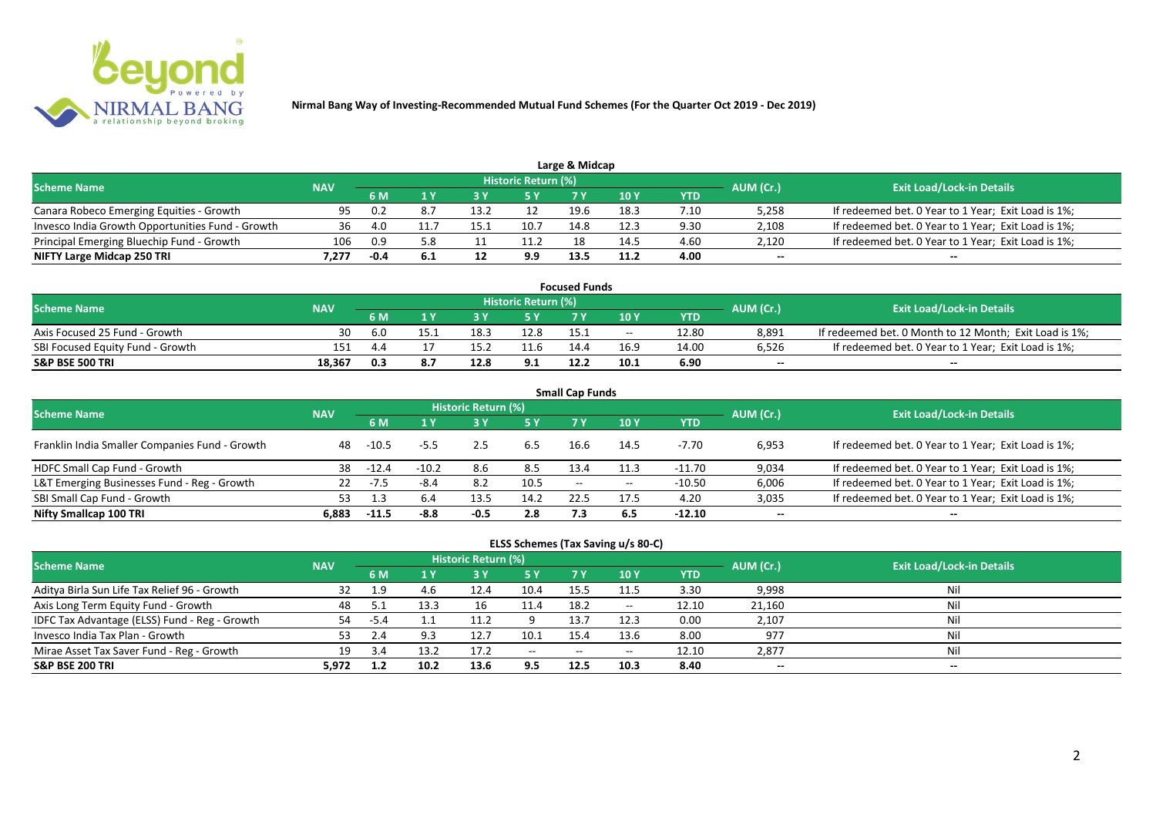

| <b>Scheme Name</b>                               | <b>NAV</b> |      |     |      | Historic Return (%) |      |      |      |           | <b>Exit Load/Lock-in Details</b>                    |
|--------------------------------------------------|------------|------|-----|------|---------------------|------|------|------|-----------|-----------------------------------------------------|
|                                                  |            |      |     |      | 5 Y                 |      |      | YTD  | AUM (Cr.) |                                                     |
| Canara Robeco Emerging Equities - Growth         | 95.        | 0.2  |     | 13.2 |                     | 19.6 | 18.3 | 7.10 | 5,258     | If redeemed bet. 0 Year to 1 Year; Exit Load is 1%; |
| Invesco India Growth Opportunities Fund - Growth | 36         | 4.0  |     |      | 10.7                | 14.8 | 12.3 | 9.30 | 2,108     | If redeemed bet. 0 Year to 1 Year; Exit Load is 1%; |
| Principal Emerging Bluechip Fund - Growth        | 106        | 0.9  | 5.8 |      | 11.2                | 18   | 14.5 | 4.60 | 2,120     | If redeemed bet. 0 Year to 1 Year; Exit Load is 1%; |
| NIFTY Large Midcap 250 TRI                       | /.277      | -0.4 |     | ᅩ    | 9.9                 | 13.5 | 11.2 | 4.00 | $- -$     | $-$                                                 |

| <b>Focused Funds</b>             |            |     |      |      |                            |      |            |       |           |                                                        |  |  |  |
|----------------------------------|------------|-----|------|------|----------------------------|------|------------|-------|-----------|--------------------------------------------------------|--|--|--|
| <b>Scheme Name</b>               | <b>NAV</b> |     |      |      | <b>Historic Return (%)</b> |      |            |       | AUM (Cr.) | <b>Exit Load/Lock-in Details</b>                       |  |  |  |
|                                  |            | 6 M |      |      | 5 Y                        |      | <b>10Y</b> | YTD   |           |                                                        |  |  |  |
| Axis Focused 25 Fund - Growth    | 30         | 6.0 | 15.1 | 18   | 12.8                       |      | $- -$      | 12.80 | 8.891     | If redeemed bet. 0 Month to 12 Month; Exit Load is 1%; |  |  |  |
| SBI Focused Equity Fund - Growth | 151        | 44  |      |      |                            | 144  | 16.9       | 14.00 | 6,526     | If redeemed bet. 0 Year to 1 Year; Exit Load is 1%;    |  |  |  |
| <b>S&amp;P BSE 500 TRI</b>       | 18.367     | 0.3 | 8. . | 12.8 | 9.1                        | 12.2 | 10.1       | 6.90  | $- -$     | $- -$                                                  |  |  |  |

|                                                |            |         |         |                     |           | <b>Small Cap Funds</b> |       |            |           |                                                     |
|------------------------------------------------|------------|---------|---------|---------------------|-----------|------------------------|-------|------------|-----------|-----------------------------------------------------|
| <b>Scheme Name</b>                             | <b>NAV</b> |         |         | Historic Return (%) |           |                        |       |            | AUM (Cr.) | <b>Exit Load/Lock-in Details</b>                    |
|                                                |            | 6 M     | 1 Y     | 73 Y                | <b>5Y</b> | 7 Y                    | 10Y   | <b>YTD</b> |           |                                                     |
| Franklin India Smaller Companies Fund - Growth | 48         | $-10.5$ | $-5.5$  | 2.5                 | 6.5       | 16.6                   | 14.5  | -7.70      | 6,953     | If redeemed bet. 0 Year to 1 Year; Exit Load is 1%; |
| HDFC Small Cap Fund - Growth                   | 38         | $-12.4$ | $-10.2$ | 8.6                 | 8.5       | 13.4                   | 11.3  | -11.70     | 9,034     | If redeemed bet. 0 Year to 1 Year; Exit Load is 1%; |
| L&T Emerging Businesses Fund - Reg - Growth    | 22         | -7.5    | $-8.4$  | 8.2                 | 10.5      | $- -$                  | $- -$ | $-10.50$   | 6,006     | If redeemed bet. 0 Year to 1 Year; Exit Load is 1%; |
| SBI Small Cap Fund - Growth                    | 53         |         | 6.4     | 13.5                | 14.2      | 22.5                   | 17.5  | 4.20       | 3,035     | If redeemed bet. 0 Year to 1 Year; Exit Load is 1%; |
| Nifty Smallcap 100 TRI                         | 6.883      | $-11.5$ | $-8.8$  | $-0.5$              | 2.8       | 7.3                    | 6.5   | $-12.10$   | $- -$     | $- -$                                               |

|                                               |            |        |      |                     |               |            | ELSS Schemes (Tax Saving u/s 80-C) |            |           |                                  |  |
|-----------------------------------------------|------------|--------|------|---------------------|---------------|------------|------------------------------------|------------|-----------|----------------------------------|--|
| <b>Scheme Name</b>                            | <b>NAV</b> |        |      | Historic Return (%) |               |            |                                    |            | AUM (Cr.) | <b>Exit Load/Lock-in Details</b> |  |
|                                               |            | 6 M    |      | $-3V$               | 5 Y           | <b>7 Y</b> | 10 Y                               | <b>YTD</b> |           |                                  |  |
| Aditya Birla Sun Life Tax Relief 96 - Growth  |            | 1.9    | 4.6  | 12.4                | 10.4          | 15.5       | 11.5                               | 3.30       | 9,998     | Nil                              |  |
| Axis Long Term Equity Fund - Growth           | 48         | 5.1    | 13.3 | 16                  | 11.4          | 18.2       | $- -$                              | 12.10      | 21,160    | Nil                              |  |
| IDFC Tax Advantage (ELSS) Fund - Reg - Growth | 54         | $-5.4$ |      | 11.2                |               | 13.7       | 12.3                               | 0.00       | 2,107     | Nil                              |  |
| Invesco India Tax Plan - Growth               | 53         | 2.4    | 9.3  | 12.7                | 10.1          | 15.4       | 13.6                               | 8.00       | 977       | -Nil                             |  |
| Mirae Asset Tax Saver Fund - Reg - Growth     | 19         | 3.4    | 13.2 | 17.2                | $\sim$ $\sim$ | $- -$      | $- -$                              | 12.10      | 2,877     | <b>Nil</b>                       |  |
| S&P BSE 200 TRI                               | 5.972      | 1.2    | 10.2 | 13.6                | 9.5           | 12.5       | 10.3                               | 8.40       | $- -$     | $- -$                            |  |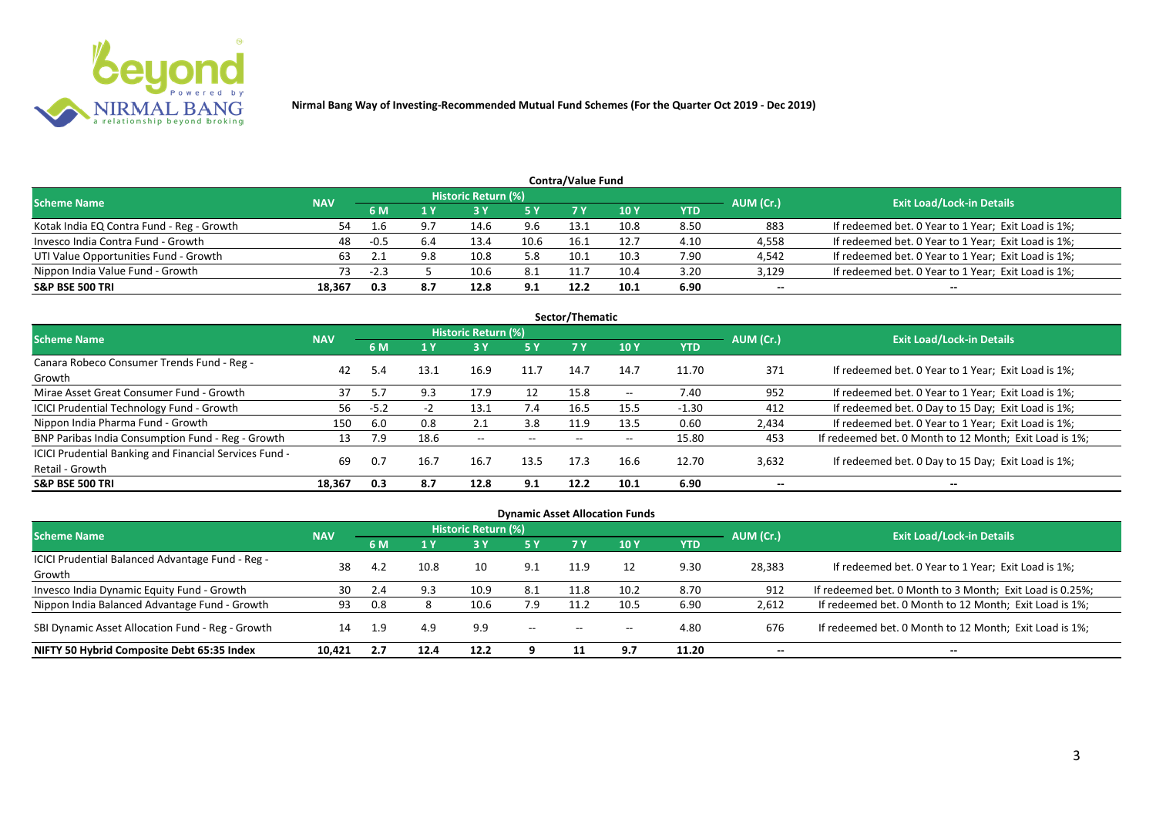

|                                           |            |        |     |                     |      | <b>Contra/Value Fund</b> |             |      |           |                                                     |
|-------------------------------------------|------------|--------|-----|---------------------|------|--------------------------|-------------|------|-----------|-----------------------------------------------------|
| <b>Scheme Name</b>                        | <b>NAV</b> |        |     | Historic Return (%) |      |                          |             |      | AUM (Cr.) | <b>Exit Load/Lock-in Details</b>                    |
|                                           |            | 6 M    |     |                     | 5 Y  | 7 Y                      | <b>10 Y</b> | YTD  |           |                                                     |
| Kotak India EQ Contra Fund - Reg - Growth | 54         | 1.6    |     | 14.6                | 9.6  | 13.1                     | 10.8        | 8.50 | 883       | If redeemed bet. 0 Year to 1 Year; Exit Load is 1%; |
| Invesco India Contra Fund - Growth        | 48         | -0.5   | 6.4 | 13.4                | 10.6 | 16.1                     | 12.7        | 4.10 | 4,558     | If redeemed bet. 0 Year to 1 Year; Exit Load is 1%; |
| UTI Value Opportunities Fund - Growth     | 63         |        |     | 10.8                | 5.8  | 10.1                     | 10.3        | 7.90 | 4,542     | If redeemed bet. 0 Year to 1 Year; Exit Load is 1%; |
| Nippon India Value Fund - Growth          | 73         | $-2.3$ |     | 10.6                | 8.1  | 11.7                     | 10.4        | 3.20 | 3,129     | If redeemed bet. 0 Year to 1 Year; Exit Load is 1%; |
| <b>S&amp;P BSE 500 TRI</b>                | 18.367     | 0.3    | 8.7 | 12.8                | 9.1  | 12.2                     | 10.1        | 6.90 | $- -$     | $- -$                                               |

|                                                        |            |        |      |                     |       | Sector/Thematic |                          |         |                          |                                                        |
|--------------------------------------------------------|------------|--------|------|---------------------|-------|-----------------|--------------------------|---------|--------------------------|--------------------------------------------------------|
| <b>Scheme Name</b>                                     | <b>NAV</b> |        |      | Historic Return (%) |       |                 |                          |         | AUM (Cr.)                | <b>Exit Load/Lock-in Details</b>                       |
|                                                        |            | 6 M    | 1 Y  | 3 Y                 | 5 Y   | 7 Y             | <b>10Y</b>               | YTD     |                          |                                                        |
| Canara Robeco Consumer Trends Fund - Reg -             | 42         |        |      | 16.9                | 11.7  | 14.7            | 14.7                     | 11.70   | 371                      | If redeemed bet. 0 Year to 1 Year; Exit Load is 1%;    |
| Growth                                                 |            | 5.4    | 13.1 |                     |       |                 |                          |         |                          |                                                        |
| Mirae Asset Great Consumer Fund - Growth               | 37         | 5.7    | 9.3  | 17.9                | 12    | 15.8            | $\overline{\phantom{a}}$ | 7.40    | 952                      | If redeemed bet. 0 Year to 1 Year; Exit Load is 1%;    |
| <b>ICICI Prudential Technology Fund - Growth</b>       | 56         | $-5.2$ | - 1  | 13.1                | 7.4   | 16.5            | 15.5                     | $-1.30$ | 412                      | If redeemed bet. 0 Day to 15 Day; Exit Load is 1%;     |
| Nippon India Pharma Fund - Growth                      | 150        | 6.0    | 0.8  | 2.1                 | 3.8   | 11.9            | 13.5                     | 0.60    | 2,434                    | If redeemed bet. 0 Year to 1 Year; Exit Load is 1%;    |
| BNP Paribas India Consumption Fund - Reg - Growth      | 13         | 7.9    | 18.6 | $- -$               | $- -$ | $- -$           | $\overline{\phantom{m}}$ | 15.80   | 453                      | If redeemed bet. 0 Month to 12 Month; Exit Load is 1%; |
| ICICI Prudential Banking and Financial Services Fund - | 69         | 0.7    | 16.7 | 16.7                |       | 17.3            | 16.6                     | 12.70   |                          |                                                        |
| Retail - Growth                                        |            |        |      |                     | 13.5  |                 |                          |         | 3,632                    | If redeemed bet. 0 Day to 15 Day; Exit Load is 1%;     |
| <b>S&amp;P BSE 500 TRI</b>                             | 18,367     | 0.3    | 8.7  | 12.8                | 9.1   | 12.2            | 10.1                     | 6.90    | $\overline{\phantom{a}}$ | --                                                     |

| <b>Dynamic Asset Allocation Funds</b>                      |            |      |      |                            |               |                          |            |            |           |                                                          |  |  |  |  |
|------------------------------------------------------------|------------|------|------|----------------------------|---------------|--------------------------|------------|------------|-----------|----------------------------------------------------------|--|--|--|--|
| <b>Scheme Name</b>                                         | <b>NAV</b> |      |      | <b>Historic Return (%)</b> |               |                          |            |            | AUM (Cr.) | <b>Exit Load/Lock-in Details</b>                         |  |  |  |  |
|                                                            |            | 6 M  |      |                            | <b>5Y</b>     |                          | <b>10Y</b> | <b>YTD</b> |           |                                                          |  |  |  |  |
| ICICI Prudential Balanced Advantage Fund - Reg -<br>Growth | 38         | 4.2  | 10.8 | 10                         | 9.1           | 11.9                     | 12         | 9.30       | 28,383    | If redeemed bet. 0 Year to 1 Year; Exit Load is 1%;      |  |  |  |  |
| Invesco India Dynamic Equity Fund - Growth                 | 30         |      | 9.3  | 10.9                       | -8.1          | 11.8                     | 10.2       | 8.70       | 912       | If redeemed bet. 0 Month to 3 Month; Exit Load is 0.25%; |  |  |  |  |
| Nippon India Balanced Advantage Fund - Growth              | 93         | 0.8  |      | 10.6                       | 7.9           |                          | 10.5       | 6.90       | 2,612     | If redeemed bet. 0 Month to 12 Month; Exit Load is 1%;   |  |  |  |  |
| SBI Dynamic Asset Allocation Fund - Reg - Growth           | 14         | -1.9 | 4.9  | 9.9                        | $\sim$ $\sim$ | $\overline{\phantom{a}}$ | $- -$      | 4.80       | 676       | If redeemed bet. 0 Month to 12 Month; Exit Load is 1%;   |  |  |  |  |
| NIFTY 50 Hybrid Composite Debt 65:35 Index                 | 10.421     | 2.7  | 12.4 | 12.2                       |               |                          | 9.7        | 11.20      | $- -$     | --                                                       |  |  |  |  |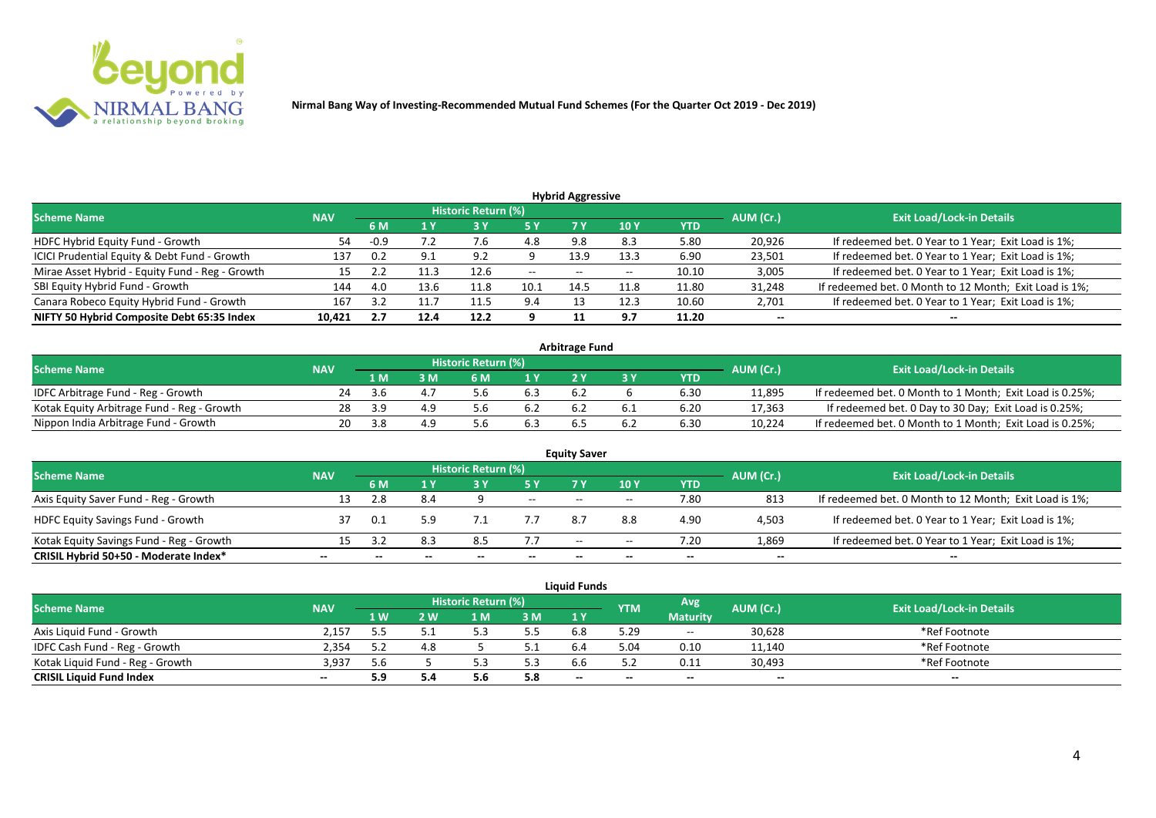

| <b>Hybrid Aggressive</b>                        |            |       |                |                     |       |                          |                 |            |           |                                                        |  |  |  |
|-------------------------------------------------|------------|-------|----------------|---------------------|-------|--------------------------|-----------------|------------|-----------|--------------------------------------------------------|--|--|--|
| <b>Scheme Name</b>                              | <b>NAV</b> |       |                | Historic Return (%) |       |                          |                 |            | AUM (Cr.) | <b>Exit Load/Lock-in Details</b>                       |  |  |  |
|                                                 |            | 6 M   |                |                     | 5 Y   |                          | 10 <sub>1</sub> | <b>YTD</b> |           |                                                        |  |  |  |
| HDFC Hybrid Equity Fund - Growth                | 54         |       | $\cdot$ $\sim$ | 7.b                 | 4.8   | 9.8                      | 8.3             | 5.80       | 20,926    | If redeemed bet. 0 Year to 1 Year; Exit Load is 1%;    |  |  |  |
| ICICI Prudential Equity & Debt Fund - Growth    | 137        | 0.2   | 9.1            | 9.2                 |       | 13.9                     | 13.3            | 6.90       | 23,501    | If redeemed bet. 0 Year to 1 Year; Exit Load is 1%;    |  |  |  |
| Mirae Asset Hybrid - Equity Fund - Reg - Growth |            | ے . ۔ |                | 12.6                | $- -$ | $\overline{\phantom{a}}$ | $-$             | 10.10      | 3,005     | If redeemed bet. 0 Year to 1 Year; Exit Load is 1%;    |  |  |  |
| SBI Equity Hybrid Fund - Growth                 | 144        | 4.0   | 13.6           | 11.8                | 10.1  | 14.5                     | 11.8            | 11.80      | 31,248    | If redeemed bet. 0 Month to 12 Month; Exit Load is 1%; |  |  |  |
| Canara Robeco Equity Hybrid Fund - Growth       | 167        |       |                | 11.5                | 9.4   |                          | 12.3            | 10.60      | 2,701     | If redeemed bet. 0 Year to 1 Year; Exit Load is 1%;    |  |  |  |
| NIFTY 50 Hybrid Composite Debt 65:35 Index      | 10,421     | 2.7   | 12.4           | 12.2                |       |                          | 9.7             | 11.20      | $- -$     | $- -$                                                  |  |  |  |

| <b>Arbitrage Fund</b>                      |            |              |     |                     |     |  |     |      |           |                                                          |  |  |  |
|--------------------------------------------|------------|--------------|-----|---------------------|-----|--|-----|------|-----------|----------------------------------------------------------|--|--|--|
| <b>Scheme Name</b>                         | <b>NAV</b> |              |     | Historic Return (%) |     |  |     |      | AUM (Cr.) | <b>Exit Load/Lock-in Details</b>                         |  |  |  |
|                                            |            | 1 M          |     |                     | 1 V |  |     | YTD  |           |                                                          |  |  |  |
| IDFC Arbitrage Fund - Reg - Growth         |            | - 3 h        |     |                     | 6.3 |  |     | 6.30 | 11,895    | If redeemed bet. 0 Month to 1 Month; Exit Load is 0.25%; |  |  |  |
| Kotak Equity Arbitrage Fund - Reg - Growth | 28         | - 2 G        | 4 Q |                     | 6.2 |  |     | 6.20 | 17,363    | If redeemed bet. 0 Day to 30 Day; Exit Load is 0.25%;    |  |  |  |
| Nippon India Arbitrage Fund - Growth       |            | — <b>2 X</b> | 4.9 |                     |     |  | 6.2 | 6.30 | 10,224    | If redeemed bet. 0 Month to 1 Month; Exit Load is 0.25%; |  |  |  |

|                                          |            |     |     | <b>Historic Return (%)</b> |        | <b>Equity Saver</b> |       |      |           |                                                        |
|------------------------------------------|------------|-----|-----|----------------------------|--------|---------------------|-------|------|-----------|--------------------------------------------------------|
| <b>Scheme Name</b>                       | <b>NAV</b> | 6 M |     |                            | 5 Y    |                     | 10Y   | YTD  | AUM (Cr.) | <b>Exit Load/Lock-in Details</b>                       |
| Axis Equity Saver Fund - Reg - Growth    | 13         |     | 8.4 |                            | $\sim$ | $- -$               | $- -$ | 7.80 | 813       | If redeemed bet. 0 Month to 12 Month; Exit Load is 1%; |
| <b>HDFC Equity Savings Fund - Growth</b> |            | 0.1 | 5.9 |                            | 7.7    |                     | 8.8   | 4.90 | 4,503     | If redeemed bet. 0 Year to 1 Year; Exit Load is 1%;    |
| Kotak Equity Savings Fund - Reg - Growth | 15         |     | 8.3 |                            | 7.7    | $-$                 | $- -$ | 7.20 | 1,869     | If redeemed bet. 0 Year to 1 Year; Exit Load is 1%;    |
| CRISIL Hybrid 50+50 - Moderate Index*    | --         |     |     |                            | $- -$  | $- -$               | --    | $-$  | $- -$     | $-$                                                    |

|                                  |            |            |       |                            |     | <b>Liquid Funds</b> |            |                 |           |                                  |
|----------------------------------|------------|------------|-------|----------------------------|-----|---------------------|------------|-----------------|-----------|----------------------------------|
| <b>Scheme Name</b>               | <b>NAV</b> |            |       | <b>Historic Return (%)</b> |     |                     | <b>YTM</b> | Avg             | AUM (Cr.) | <b>Exit Load/Lock-in Details</b> |
|                                  |            | <b>1 W</b> | ואי י | 1 M                        | 3 M | 1Y                  |            | <b>Maturity</b> |           |                                  |
| Axis Liguid Fund - Growth        | 2.157      |            |       |                            | 5.5 |                     | 5.29       | $  \,$          | 30,628    | *Ref Footnote                    |
| IDFC Cash Fund - Reg - Growth    | 2.354      |            |       |                            |     |                     | 5.04       | 0.10            | 11,140    | *Ref Footnote                    |
| Kotak Liguid Fund - Reg - Growth | 3,937      | 5.6        |       |                            | 5.3 |                     |            | 0.11            | 30,493    | *Ref Footnote                    |
| <b>CRISIL Liquid Fund Index</b>  | $- -$      |            |       | ں ر                        | 5.8 | $-$                 | $- -$      | $-$             | --        | $- -$                            |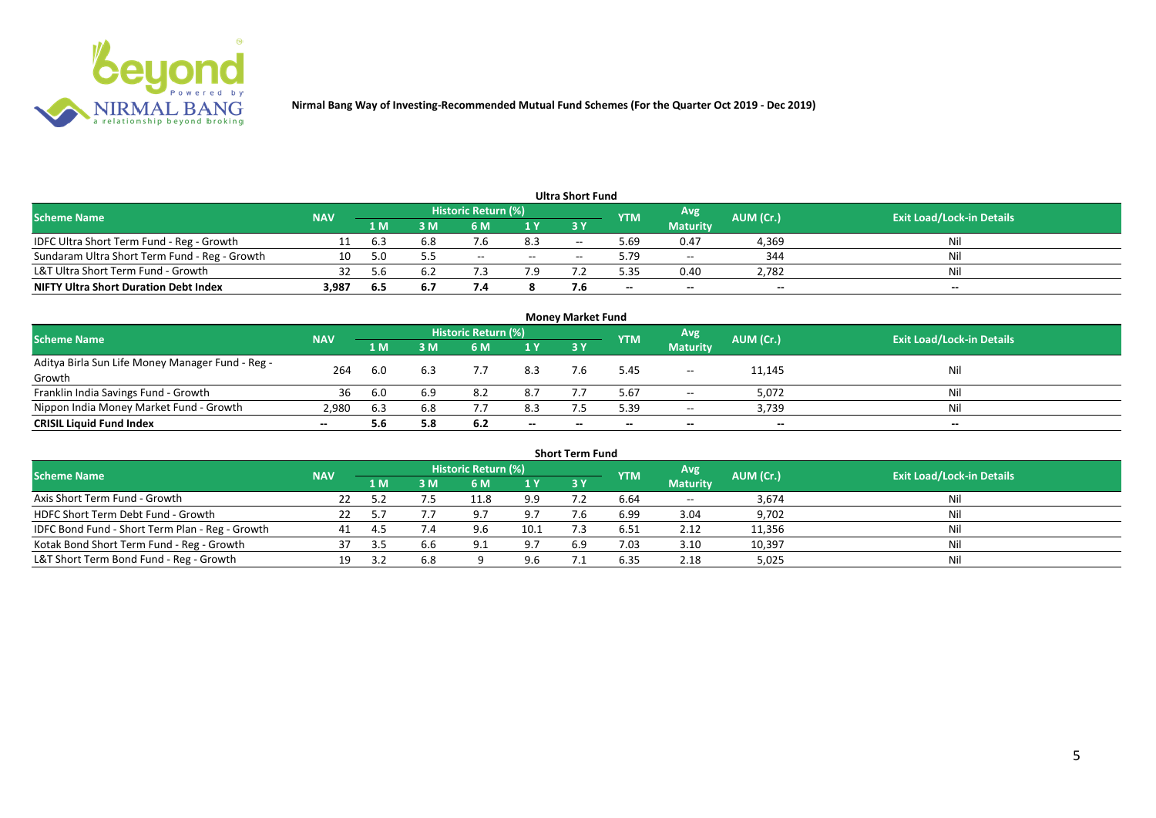

|                                               |            |     |     |                     |       | <b>Ultra Short Fund</b> |            |                 |           |                                  |
|-----------------------------------------------|------------|-----|-----|---------------------|-------|-------------------------|------------|-----------------|-----------|----------------------------------|
| <b>Scheme Name</b>                            | <b>NAV</b> |     |     | Historic Return (%) |       |                         | <b>YTM</b> | Avg             | AUM (Cr.) | <b>Exit Load/Lock-in Details</b> |
|                                               |            | 1 M | l M | 6 M                 | 1Y    | <b>3Y</b>               |            | <b>Maturity</b> |           |                                  |
| IDFC Ultra Short Term Fund - Reg - Growth     |            | 6.3 | 6.8 |                     | 8.3   | $-$                     | 69         | 0.47            | 4,369     | Ni                               |
| Sundaram Ultra Short Term Fund - Reg - Growth | 10         |     |     | $- -$               | $- -$ |                         | 5.79       | $- -$           | 344       | Nii                              |
| L&T Ultra Short Term Fund - Growth            | 32         | 5 h | b.2 |                     | 7.9   |                         | .35        | 0.40            | 2,782     | Nil                              |
| <b>NIFTY Ultra Short Duration Debt Index</b>  | 3,987      | 6.5 | 6.7 |                     |       |                         | $- -$      | $-$             | $- -$     | $- -$                            |

| <b>Money Market Fund</b>                         |            |      |     |                     |       |           |            |                 |           |                                  |  |  |  |  |
|--------------------------------------------------|------------|------|-----|---------------------|-------|-----------|------------|-----------------|-----------|----------------------------------|--|--|--|--|
| <b>Scheme Name</b>                               | <b>NAV</b> |      |     | Historic Return (%) |       |           | <b>YTM</b> | Avg.            | AUM (Cr.) | <b>Exit Load/Lock-in Details</b> |  |  |  |  |
|                                                  |            | '1 M | 3 M | 6 M                 | 1Y    | <b>3Y</b> |            | <b>Maturity</b> |           |                                  |  |  |  |  |
| Aditya Birla Sun Life Money Manager Fund - Reg - | 264        | 6.0  | 6.3 |                     | 8.3   |           | 5.45       | $\sim$          | 11,145    | Nil                              |  |  |  |  |
| Growth                                           |            |      |     |                     |       |           |            |                 |           |                                  |  |  |  |  |
| Franklin India Savings Fund - Growth             | 36         |      | 6.9 | 8.2                 | 8.7   |           | 5.67       | $\sim$ $\sim$   | 5,072     | Nil                              |  |  |  |  |
| Nippon India Money Market Fund - Growth          | 2.980      | 6.3  | 6.8 |                     | 8.3   |           | 5.39       | $- -$           | 3,739     | Nil                              |  |  |  |  |
| <b>CRISIL Liquid Fund Index</b>                  |            |      | 5.8 | 6.2                 | $- -$ |           | $- -$      | $- -$           | $- -$     | $- -$                            |  |  |  |  |

| <b>Short Term Fund</b>                          |            |     |     |                     |      |     |            |                 |           |                                  |  |  |  |
|-------------------------------------------------|------------|-----|-----|---------------------|------|-----|------------|-----------------|-----------|----------------------------------|--|--|--|
| <b>Scheme Name</b>                              | <b>NAV</b> |     |     | Historic Return (%) |      |     | <b>YTM</b> | Avg             | AUM (Cr.) | <b>Exit Load/Lock-in Details</b> |  |  |  |
|                                                 |            | 1 M | 3 M | 6 M                 | 1Y   | 3 Y |            | <b>Maturity</b> |           |                                  |  |  |  |
| Axis Short Term Fund - Growth                   |            |     |     | 11.8                | 9.9  |     | 6.64       | $- -$           | 3,674     | Nil                              |  |  |  |
| HDFC Short Term Debt Fund - Growth              |            |     |     |                     | 9.7  | 7.6 | 6.99       | 3.04            | 9,702     | Nil                              |  |  |  |
| IDFC Bond Fund - Short Term Plan - Reg - Growth | 41         |     | 7.4 | 9.6                 | 10.1 |     | 6.51       | 2.12            | 11,356    | Nil                              |  |  |  |
| Kotak Bond Short Term Fund - Reg - Growth       |            | -35 | 6.6 |                     | 9.7  | 6.9 | 7.03       | 3.10            | 10,397    | Nil                              |  |  |  |
| L&T Short Term Bond Fund - Reg - Growth         |            |     | 6.8 |                     | 9.6  |     | 6.35       | 2.18            | 5,025     | Nil                              |  |  |  |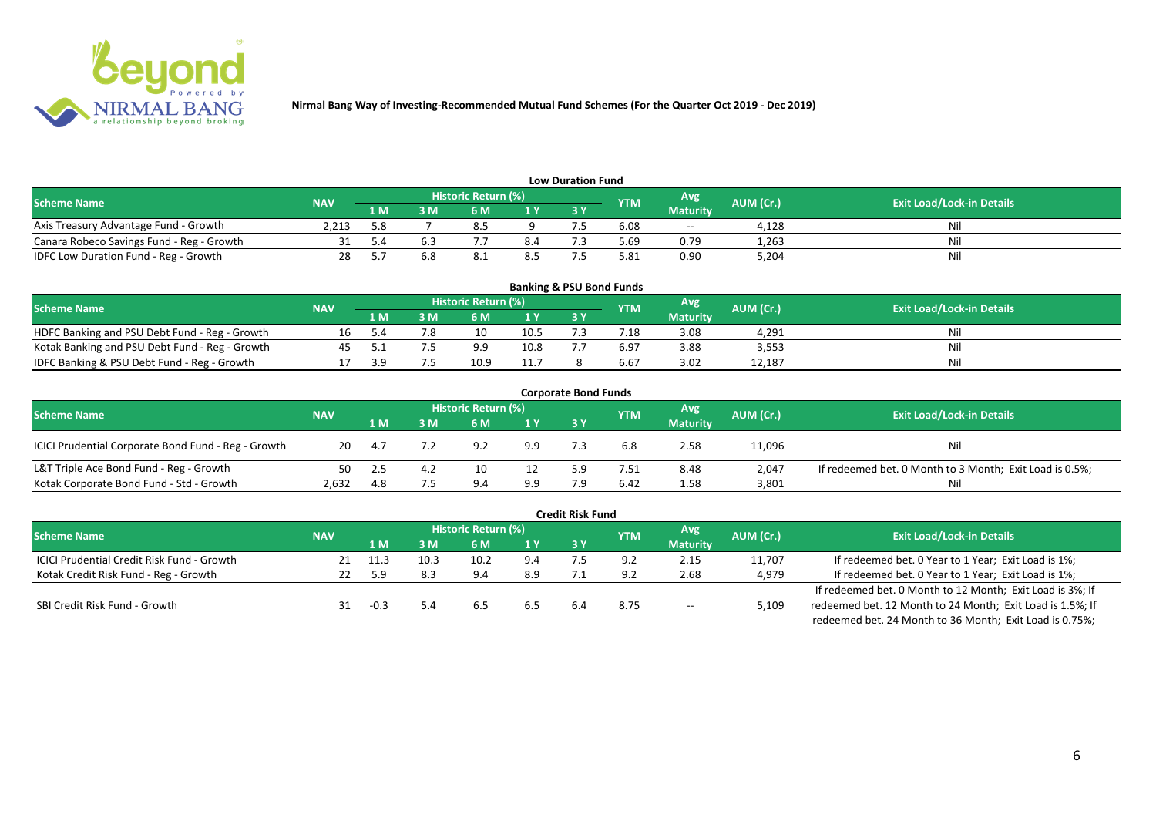

| <b>Low Duration Fund</b>                  |            |     |     |                            |     |  |            |                 |           |                                  |  |  |  |
|-------------------------------------------|------------|-----|-----|----------------------------|-----|--|------------|-----------------|-----------|----------------------------------|--|--|--|
| <b>Scheme Name</b>                        | <b>NAV</b> |     |     | <b>Historic Return (%)</b> |     |  | <b>YTM</b> | <b>Avg</b>      | AUM (Cr.) | <b>Exit Load/Lock-in Details</b> |  |  |  |
|                                           |            | 1 M | 3 M |                            | 1Y  |  |            | <b>Maturity</b> |           |                                  |  |  |  |
| Axis Treasury Advantage Fund - Growth     | 2.213      | 5.8 |     |                            |     |  | 6.08       | $\sim$ $\sim$   | 4.128     | Ni                               |  |  |  |
| Canara Robeco Savings Fund - Reg - Growth |            |     |     |                            | 8.4 |  | 69.د       | 0.79            | 1,263     |                                  |  |  |  |
| IDFC Low Duration Fund - Reg - Growth     |            |     |     |                            | 8.5 |  | 5.81       | 0.90            | 5,204     | Ni.                              |  |  |  |

| <b>Banking &amp; PSU Bond Funds</b>            |            |      |     |                            |      |       |            |                 |           |                                  |  |  |  |
|------------------------------------------------|------------|------|-----|----------------------------|------|-------|------------|-----------------|-----------|----------------------------------|--|--|--|
| <b>Scheme Name</b>                             | <b>NAV</b> |      |     | <b>Historic Return (%)</b> |      |       | <b>YTM</b> | Avg             | AUM (Cr.) | <b>Exit Load/Lock-in Details</b> |  |  |  |
|                                                |            | 1 M' | 3 M |                            | 1 Y  | 73 Y. |            | <b>Maturity</b> |           |                                  |  |  |  |
| HDFC Banking and PSU Debt Fund - Reg - Growth  |            |      |     | 10                         | 10.5 |       | 7.18       | 3.08            | 4,291     |                                  |  |  |  |
| Kotak Banking and PSU Debt Fund - Reg - Growth |            |      |     | a q                        | 10.8 |       | 6.97       | 3.88            | 3,553     | Ni                               |  |  |  |
| IDFC Banking & PSU Debt Fund - Reg - Growth    |            |      |     | 10.9                       | 11.7 |       | 6.67       | 3.02            | 12,187    | Ni                               |  |  |  |

| <b>Corporate Bond Funds</b>                         |            |      |     |                     |     |           |            |                 |           |                                                         |  |  |  |
|-----------------------------------------------------|------------|------|-----|---------------------|-----|-----------|------------|-----------------|-----------|---------------------------------------------------------|--|--|--|
| <b>Scheme Name</b>                                  | <b>NAV</b> |      |     | Historic Return (%) |     |           | <b>YTM</b> | Avg             | AUM (Cr.) | <b>Exit Load/Lock-in Details</b>                        |  |  |  |
|                                                     |            | 1 M  | 3 M | 6 M                 | 1 Y | <b>3Y</b> |            | <b>Maturity</b> |           |                                                         |  |  |  |
| ICICI Prudential Corporate Bond Fund - Reg - Growth | 20         | -4.7 |     | 9.2                 | 9.9 |           |            | 2.58            | 11,096    | Nil                                                     |  |  |  |
| L&T Triple Ace Bond Fund - Reg - Growth             | 50         |      |     | 10                  |     |           | '.51       | 8.48            | 2,047     | If redeemed bet. 0 Month to 3 Month; Exit Load is 0.5%; |  |  |  |
| Kotak Corporate Bond Fund - Std - Growth            | 2,632      | 4.8  |     | 9 <sub>4</sub>      | 9.9 |           | 6.42       | 1.58            | 3,801     | Ni                                                      |  |  |  |

|                                            |            |      |      |                            |     | <b>Credit Risk Fund</b> |            |                 |           |                                                           |
|--------------------------------------------|------------|------|------|----------------------------|-----|-------------------------|------------|-----------------|-----------|-----------------------------------------------------------|
| <b>Scheme Name</b>                         | <b>NAV</b> |      |      | <b>Historic Return (%)</b> |     |                         | <b>YTM</b> | Avg             | AUM (Cr.) | <b>Exit Load/Lock-in Details</b>                          |
|                                            |            | 1 M  | 3 M  | 6 M                        | 1 Y | 3 Y                     |            | <b>Maturity</b> |           |                                                           |
| ICICI Prudential Credit Risk Fund - Growth |            | 11.3 | 10.3 | 10.2                       | 9.4 |                         | 9. J       | 2.15            | 11,707    | If redeemed bet. 0 Year to 1 Year; Exit Load is 1%;       |
| Kotak Credit Risk Fund - Reg - Growth      |            | 5.9  | 8.3  | 9.4                        | 8.9 |                         | 9 2        | 2.68            | 4,979     | If redeemed bet. 0 Year to 1 Year; Exit Load is 1%;       |
|                                            |            |      |      |                            |     |                         |            |                 |           | If redeemed bet. 0 Month to 12 Month; Exit Load is 3%; If |
| SBI Credit Risk Fund - Growth              |            |      |      | .ხ.                        |     | 6.4                     | 8.75       | $- -$           | 5,109     | redeemed bet. 12 Month to 24 Month; Exit Load is 1.5%; If |
|                                            |            |      |      |                            |     |                         |            |                 |           | redeemed bet. 24 Month to 36 Month; Exit Load is 0.75%;   |